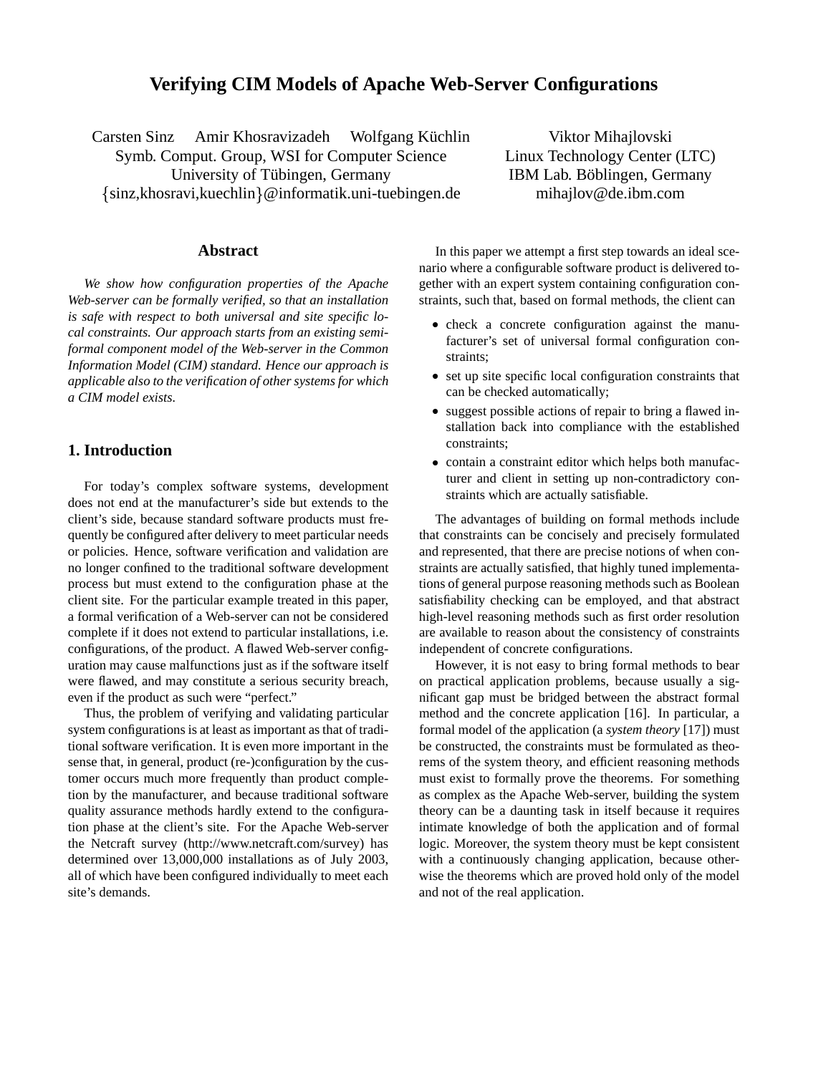# **Verifying CIM Models of Apache Web-Server Configurations**

Carsten Sinz Amir Khosravizadeh Wolfgang Küchlin Symb. Comput. Group, WSI for Computer Science University of Tübingen, Germany sinz,khosravi,kuechlin @informatik.uni-tuebingen.de

**Abstract**

*We show how configuration properties of the Apache Web-server can be formally verified, so that an installation is safe with respect to both universal and site specific local constraints. Our approach starts from an existing semiformal component model of the Web-server in the Common Information Model (CIM) standard. Hence our approach is applicable also to the verification of other systems for which a CIM model exists.*

# **1. Introduction**

For today's complex software systems, development does not end at the manufacturer's side but extends to the client's side, because standard software products must frequently be configured after delivery to meet particular needs or policies. Hence, software verification and validation are no longer confined to the traditional software development process but must extend to the configuration phase at the client site. For the particular example treated in this paper, a formal verification of a Web-server can not be considered complete if it does not extend to particular installations, i.e. configurations, of the product. A flawed Web-server configuration may cause malfunctions just as if the software itself were flawed, and may constitute a serious security breach, even if the product as such were "perfect."

Thus, the problem of verifying and validating particular system configurations is at least as important as that of traditional software verification. It is even more important in the sense that, in general, product (re-)configuration by the customer occurs much more frequently than product completion by the manufacturer, and because traditional software quality assurance methods hardly extend to the configuration phase at the client's site. For the Apache Web-server the Netcraft survey (http://www.netcraft.com/survey) has determined over 13,000,000 installations as of July 2003, all of which have been configured individually to meet each site's demands.

Viktor Mihajlovski Linux Technology Center (LTC) IBM Lab. Böblingen, Germany mihajlov@de.ibm.com

In this paper we attempt a first step towards an ideal scenario where a configurable software product is delivered together with an expert system containing configuration constraints, such that, based on formal methods, the client can

- check a concrete configuration against the manufacturer's set of universal formal configuration constraints;
- set up site specific local configuration constraints that can be checked automatically;
- suggest possible actions of repair to bring a flawed installation back into compliance with the established constraints;
- contain a constraint editor which helps both manufacturer and client in setting up non-contradictory constraints which are actually satisfiable.

The advantages of building on formal methods include that constraints can be concisely and precisely formulated and represented, that there are precise notions of when constraints are actually satisfied, that highly tuned implementations of general purpose reasoning methods such as Boolean satisfiability checking can be employed, and that abstract high-level reasoning methods such as first order resolution are available to reason about the consistency of constraints independent of concrete configurations.

However, it is not easy to bring formal methods to bear on practical application problems, because usually a significant gap must be bridged between the abstract formal method and the concrete application [16]. In particular, a formal model of the application (a *system theory* [17]) must be constructed, the constraints must be formulated as theorems of the system theory, and efficient reasoning methods must exist to formally prove the theorems. For something as complex as the Apache Web-server, building the system theory can be a daunting task in itself because it requires intimate knowledge of both the application and of formal logic. Moreover, the system theory must be kept consistent with a continuously changing application, because otherwise the theorems which are proved hold only of the model and not of the real application.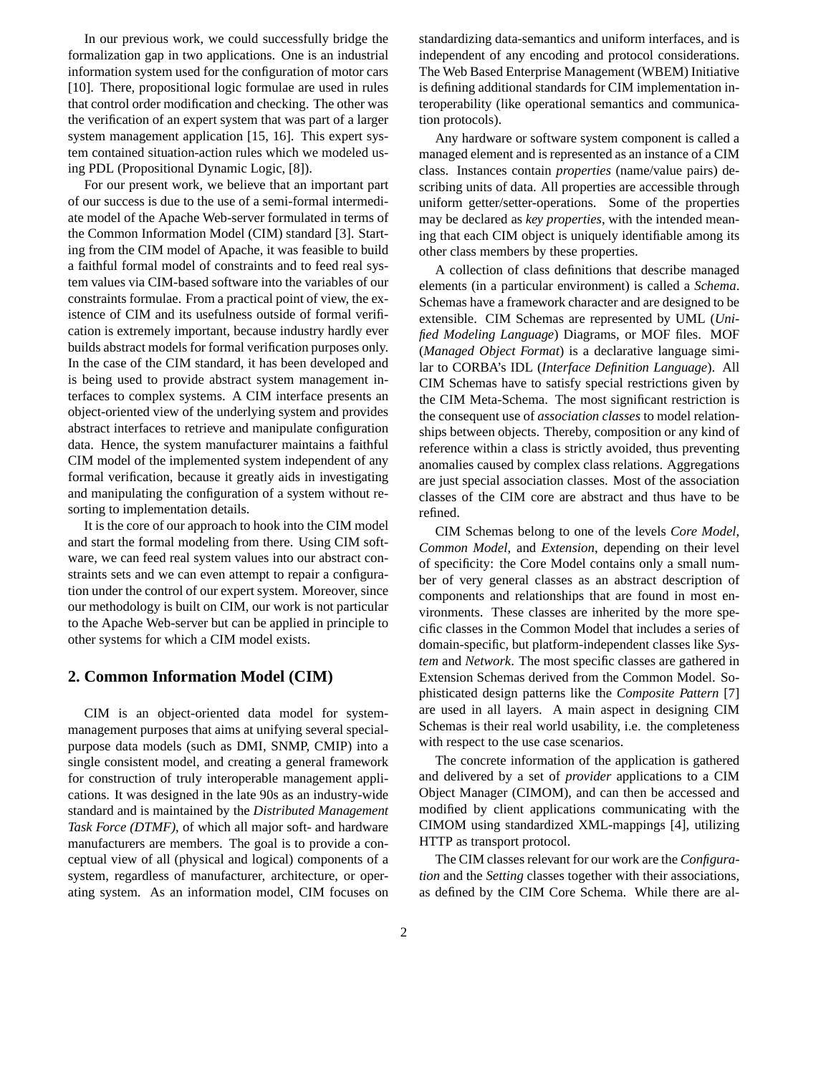In our previous work, we could successfully bridge the formalization gap in two applications. One is an industrial information system used for the configuration of motor cars [10]. There, propositional logic formulae are used in rules that control order modification and checking. The other was the verification of an expert system that was part of a larger system management application [15, 16]. This expert system contained situation-action rules which we modeled using PDL (Propositional Dynamic Logic, [8]).

For our present work, we believe that an important part of our success is due to the use of a semi-formal intermediate model of the Apache Web-server formulated in terms of the Common Information Model (CIM) standard [3]. Starting from the CIM model of Apache, it was feasible to build a faithful formal model of constraints and to feed real system values via CIM-based software into the variables of our constraints formulae. From a practical point of view, the existence of CIM and its usefulness outside of formal verification is extremely important, because industry hardly ever builds abstract models for formal verification purposes only. In the case of the CIM standard, it has been developed and is being used to provide abstract system management interfaces to complex systems. A CIM interface presents an object-oriented view of the underlying system and provides abstract interfaces to retrieve and manipulate configuration data. Hence, the system manufacturer maintains a faithful CIM model of the implemented system independent of any formal verification, because it greatly aids in investigating and manipulating the configuration of a system without resorting to implementation details.

It is the core of our approach to hook into the CIM model and start the formal modeling from there. Using CIM software, we can feed real system values into our abstract constraints sets and we can even attempt to repair a configuration under the control of our expert system. Moreover, since our methodology is built on CIM, our work is not particular to the Apache Web-server but can be applied in principle to other systems for which a CIM model exists.

### **2. Common Information Model (CIM)**

CIM is an object-oriented data model for systemmanagement purposes that aims at unifying several specialpurpose data models (such as DMI, SNMP, CMIP) into a single consistent model, and creating a general framework for construction of truly interoperable management applications. It was designed in the late 90s as an industry-wide standard and is maintained by the *Distributed Management Task Force (DTMF)*, of which all major soft- and hardware manufacturers are members. The goal is to provide a conceptual view of all (physical and logical) components of a system, regardless of manufacturer, architecture, or operating system. As an information model, CIM focuses on standardizing data-semantics and uniform interfaces, and is independent of any encoding and protocol considerations. The Web Based Enterprise Management (WBEM) Initiative is defining additional standards for CIM implementation interoperability (like operational semantics and communication protocols).

Any hardware or software system component is called a managed element and is represented as an instance of a CIM class. Instances contain *properties* (name/value pairs) describing units of data. All properties are accessible through uniform getter/setter-operations. Some of the properties may be declared as *key properties*, with the intended meaning that each CIM object is uniquely identifiable among its other class members by these properties.

A collection of class definitions that describe managed elements (in a particular environment) is called a *Schema*. Schemas have a framework character and are designed to be extensible. CIM Schemas are represented by UML (*Unified Modeling Language*) Diagrams, or MOF files. MOF (*Managed Object Format*) is a declarative language similar to CORBA's IDL (*Interface Definition Language*). All CIM Schemas have to satisfy special restrictions given by the CIM Meta-Schema. The most significant restriction is the consequent use of *association classes* to model relationships between objects. Thereby, composition or any kind of reference within a class is strictly avoided, thus preventing anomalies caused by complex class relations. Aggregations are just special association classes. Most of the association classes of the CIM core are abstract and thus have to be refined.

CIM Schemas belong to one of the levels *Core Model*, *Common Model*, and *Extension*, depending on their level of specificity: the Core Model contains only a small number of very general classes as an abstract description of components and relationships that are found in most environments. These classes are inherited by the more specific classes in the Common Model that includes a series of domain-specific, but platform-independent classes like *System* and *Network*. The most specific classes are gathered in Extension Schemas derived from the Common Model. Sophisticated design patterns like the *Composite Pattern* [7] are used in all layers. A main aspect in designing CIM Schemas is their real world usability, i.e. the completeness with respect to the use case scenarios.

The concrete information of the application is gathered and delivered by a set of *provider* applications to a CIM Object Manager (CIMOM), and can then be accessed and modified by client applications communicating with the CIMOM using standardized XML-mappings [4], utilizing HTTP as transport protocol.

The CIM classes relevant for our work are the *Configuration* and the *Setting* classes together with their associations, as defined by the CIM Core Schema. While there are al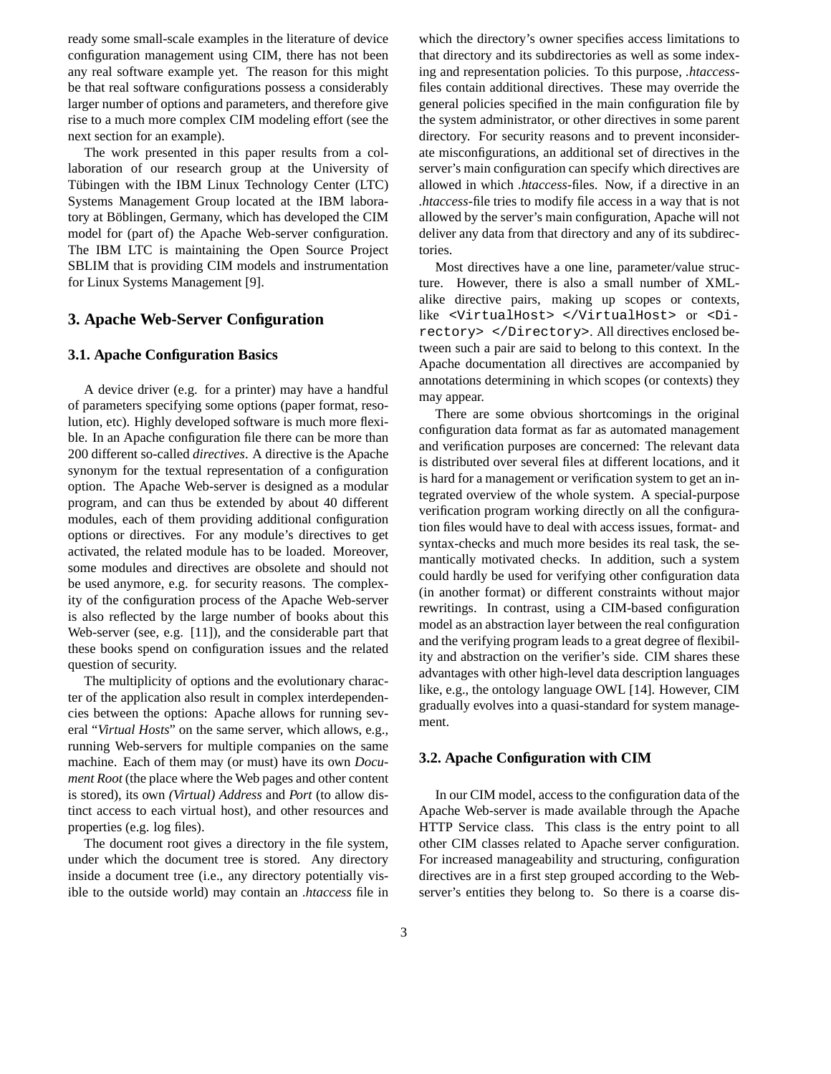ready some small-scale examples in the literature of device configuration management using CIM, there has not been any real software example yet. The reason for this might be that real software configurations possess a considerably larger number of options and parameters, and therefore give rise to a much more complex CIM modeling effort (see the next section for an example).

The work presented in this paper results from a collaboration of our research group at the University of Tübingen with the IBM Linux Technology Center (LTC) Systems Management Group located at the IBM laboratory at Böblingen, Germany, which has developed the CIM model for (part of) the Apache Web-server configuration. The IBM LTC is maintaining the Open Source Project SBLIM that is providing CIM models and instrumentation for Linux Systems Management [9].

### **3. Apache Web-Server Configuration**

#### **3.1. Apache Configuration Basics**

A device driver (e.g. for a printer) may have a handful of parameters specifying some options (paper format, resolution, etc). Highly developed software is much more flexible. In an Apache configuration file there can be more than 200 different so-called *directives*. A directive is the Apache synonym for the textual representation of a configuration option. The Apache Web-server is designed as a modular program, and can thus be extended by about 40 different modules, each of them providing additional configuration options or directives. For any module's directives to get activated, the related module has to be loaded. Moreover, some modules and directives are obsolete and should not be used anymore, e.g. for security reasons. The complexity of the configuration process of the Apache Web-server is also reflected by the large number of books about this Web-server (see, e.g. [11]), and the considerable part that these books spend on configuration issues and the related question of security.

The multiplicity of options and the evolutionary character of the application also result in complex interdependencies between the options: Apache allows for running several "*Virtual Hosts*" on the same server, which allows, e.g., running Web-servers for multiple companies on the same machine. Each of them may (or must) have its own *Document Root* (the place where the Web pages and other content is stored), its own *(Virtual) Address* and *Port* (to allow distinct access to each virtual host), and other resources and properties (e.g. log files).

The document root gives a directory in the file system, under which the document tree is stored. Any directory inside a document tree (i.e., any directory potentially visible to the outside world) may contain an *.htaccess* file in which the directory's owner specifies access limitations to that directory and its subdirectories as well as some indexing and representation policies. To this purpose, *.htaccess*files contain additional directives. These may override the general policies specified in the main configuration file by the system administrator, or other directives in some parent directory. For security reasons and to prevent inconsiderate misconfigurations, an additional set of directives in the server's main configuration can specify which directives are allowed in which *.htaccess*-files. Now, if a directive in an *.htaccess*-file tries to modify file access in a way that is not allowed by the server's main configuration, Apache will not deliver any data from that directory and any of its subdirectories.

Most directives have a one line, parameter/value structure. However, there is also a small number of XMLalike directive pairs, making up scopes or contexts, like <VirtualHost> </VirtualHost> or <Directory> </Directory>. All directives enclosed between such a pair are said to belong to this context. In the Apache documentation all directives are accompanied by annotations determining in which scopes (or contexts) they may appear.

There are some obvious shortcomings in the original configuration data format as far as automated management and verification purposes are concerned: The relevant data is distributed over several files at different locations, and it is hard for a management or verification system to get an integrated overview of the whole system. A special-purpose verification program working directly on all the configuration files would have to deal with access issues, format- and syntax-checks and much more besides its real task, the semantically motivated checks. In addition, such a system could hardly be used for verifying other configuration data (in another format) or different constraints without major rewritings. In contrast, using a CIM-based configuration model as an abstraction layer between the real configuration and the verifying program leads to a great degree of flexibility and abstraction on the verifier's side. CIM shares these advantages with other high-level data description languages like, e.g., the ontology language OWL [14]. However, CIM gradually evolves into a quasi-standard for system management.

#### **3.2. Apache Configuration with CIM**

In our CIM model, access to the configuration data of the Apache Web-server is made available through the Apache HTTP Service class. This class is the entry point to all other CIM classes related to Apache server configuration. For increased manageability and structuring, configuration directives are in a first step grouped according to the Webserver's entities they belong to. So there is a coarse dis-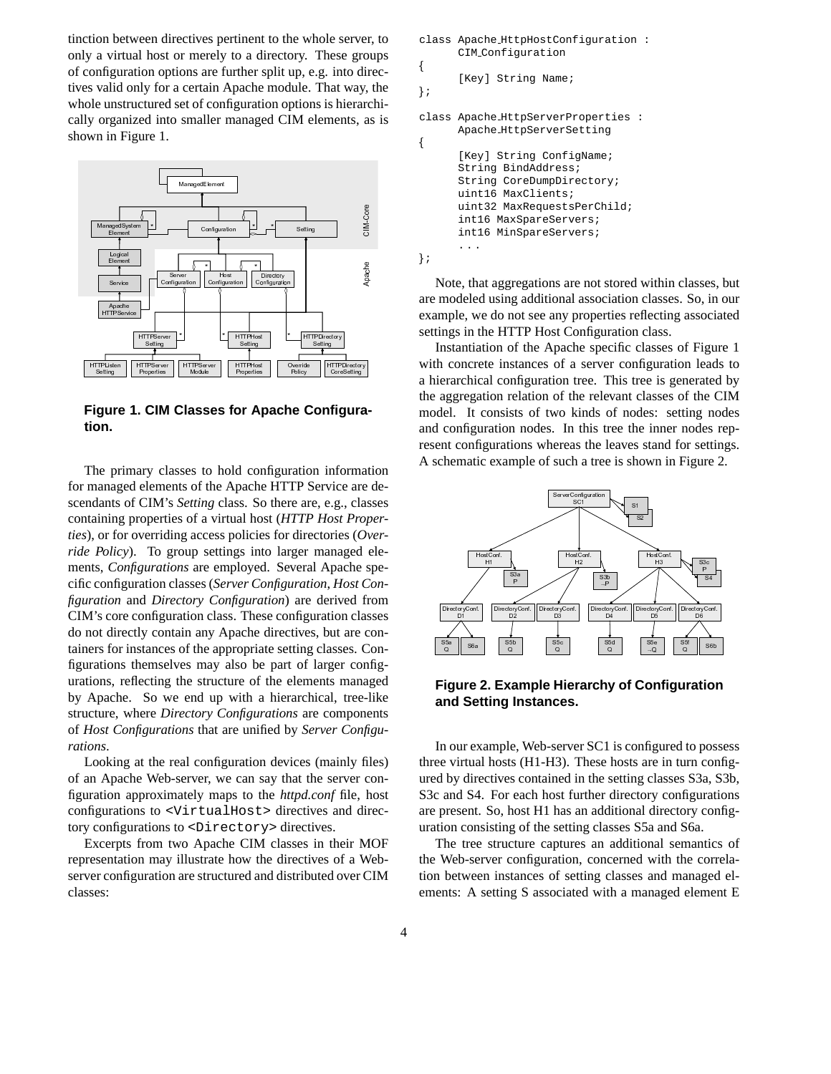tinction between directives pertinent to the whole server, to only a virtual host or merely to a directory. These groups of configuration options are further split up, e.g. into directives valid only for a certain Apache module. That way, the whole unstructured set of configuration options is hierarchically organized into smaller managed CIM elements, as is shown in Figure 1.



Figure 1. CIM Classes for Apache Configuration.

The primary classes to hold configuration information for managed elements of the Apache HTTP Service are descendants of CIM's *Setting* class. So there are, e.g., classes containing properties of a virtual host (HTTP Host Properties), or for overriding access policies for directories (Override Policy). To group settings into larger managed elements, *Configurations* are employed. Several Apache specific configuration classes (Server Configuration, Host Con*figuration* and *Directory Configuration*) are derived from CIM's core configuration class. These configuration classes do not directly contain any Apache directives, but are containers for instances of the appropriate setting classes. Configurations themselves may also be part of larger configurations, reflecting the structure of the elements managed by Apache. So we end up with a hierarchical, tree-like structure, where Directory Configurations are components of Host Configurations that are unified by Server Configurations.

Looking at the real configuration devices (mainly files) of an Apache Web-server, we can say that the server configuration approximately maps to the *httpd.conf* file, host configurations to <VirtualHost> directives and directory configurations to <Directory> directives.

Excerpts from two Apache CIM classes in their MOF representation may illustrate how the directives of a Webserver configuration are structured and distributed over CIM classes:

```
class Apache HttpHostConfiguration:
      CIM_Configuration
{
      [Key] String Name;
\}class Apache HttpServerProperties :
      Apache HttpServerSetting
ſ
      [Key] String ConfigName;
      String BindAddress;
      String CoreDumpDirectory;
      uint16 MaxClients;
      uint32 MaxRequestsPerChild;
      int16 MaxSpareServers;
      int16 MinSpareServers;
\}
```
Note, that aggregations are not stored within classes, but are modeled using additional association classes. So, in our example, we do not see any properties reflecting associated settings in the HTTP Host Configuration class.

Instantiation of the Apache specific classes of Figure 1 with concrete instances of a server configuration leads to a hierarchical configuration tree. This tree is generated by the aggregation relation of the relevant classes of the CIM model. It consists of two kinds of nodes: setting nodes and configuration nodes. In this tree the inner nodes represent configurations whereas the leaves stand for settings. A schematic example of such a tree is shown in Figure 2.



**Figure 2. Example Hierarchy of Configuration** and Setting Instances.

In our example, Web-server SC1 is configured to possess three virtual hosts (H1-H3). These hosts are in turn configured by directives contained in the setting classes S3a, S3b, S3c and S4. For each host further directory configurations are present. So, host H1 has an additional directory configuration consisting of the setting classes S5a and S6a.

The tree structure captures an additional semantics of the Web-server configuration, concerned with the correlation between instances of setting classes and managed elements: A setting S associated with a managed element E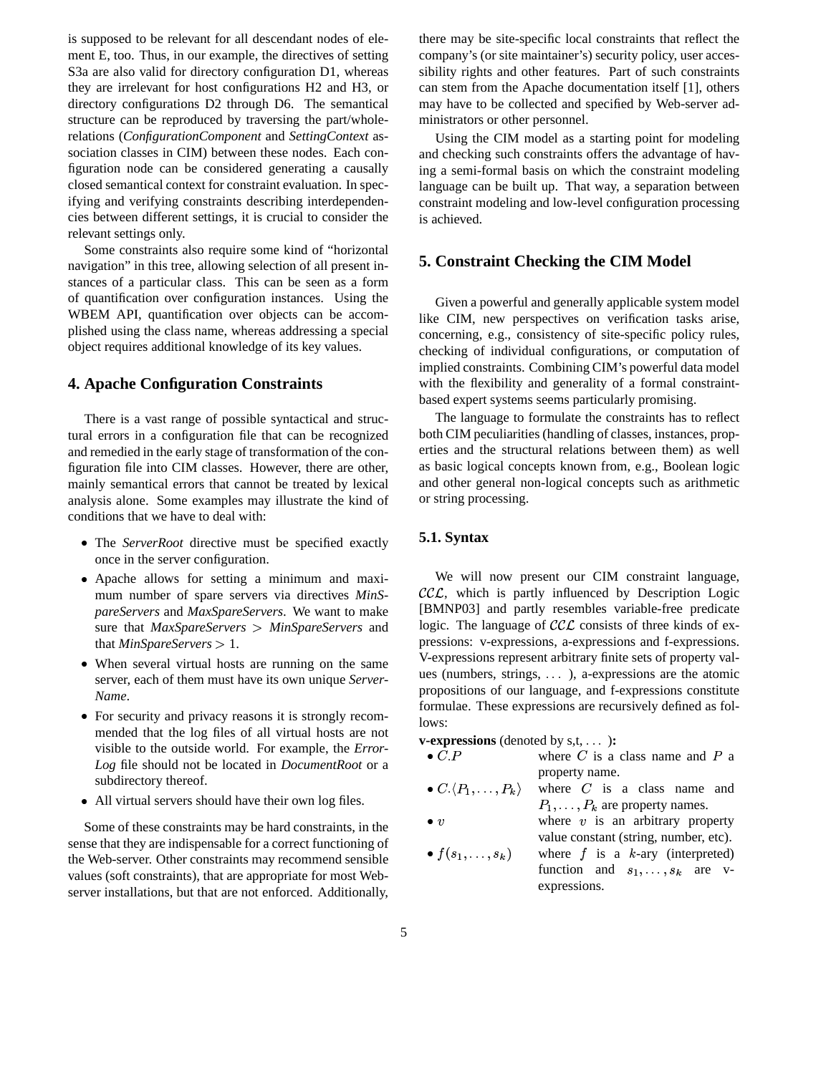is supposed to be relevant for all descendant nodes of element E, too. Thus, in our example, the directives of setting S3a are also valid for directory configuration D1, whereas they are irrelevant for host configurations H2 and H3, or directory configurations D2 through D6. The semantical structure can be reproduced by traversing the part/wholerelations (*ConfigurationComponent* and *SettingContext* association classes in CIM) between these nodes. Each configuration node can be considered generating a causally closed semantical context for constraint evaluation. In specifying and verifying constraints describing interdependencies between different settings, it is crucial to consider the relevant settings only.

Some constraints also require some kind of "horizontal navigation" in this tree, allowing selection of all present instances of a particular class. This can be seen as a form of quantification over configuration instances. Using the WBEM API, quantification over objects can be accomplished using the class name, whereas addressing a special object requires additional knowledge of its key values.

# **4. Apache Configuration Constraints**

There is a vast range of possible syntactical and structural errors in a configuration file that can be recognized and remedied in the early stage of transformation of the configuration file into CIM classes. However, there are other, mainly semantical errors that cannot be treated by lexical analysis alone. Some examples may illustrate the kind of conditions that we have to deal with:

- The *ServerRoot* directive must be specified exactly once in the server configuration.
- Apache allows for setting a minimum and maximum number of spare servers via directives *MinSpareServers* and *MaxSpareServers*. We want to make sure that *MaxSpareServers MinSpareServers* and that *MinSpareServers* 1.
- When several virtual hosts are running on the same server, each of them must have its own unique *Server-Name*.
- For security and privacy reasons it is strongly recommended that the log files of all virtual hosts are not visible to the outside world. For example, the *Error-Log* file should not be located in *DocumentRoot* or a subdirectory thereof.
- All virtual servers should have their own log files.

Some of these constraints may be hard constraints, in the sense that they are indispensable for a correct functioning of the Web-server. Other constraints may recommend sensible values (soft constraints), that are appropriate for most Webserver installations, but that are not enforced. Additionally, there may be site-specific local constraints that reflect the company's (or site maintainer's) security policy, user accessibility rights and other features. Part of such constraints can stem from the Apache documentation itself [1], others may have to be collected and specified by Web-server administrators or other personnel.

Using the CIM model as a starting point for modeling and checking such constraints offers the advantage of having a semi-formal basis on which the constraint modeling language can be built up. That way, a separation between constraint modeling and low-level configuration processing is achieved.

# **5. Constraint Checking the CIM Model**

Given a powerful and generally applicable system model like CIM, new perspectives on verification tasks arise, concerning, e.g., consistency of site-specific policy rules, checking of individual configurations, or computation of implied constraints. Combining CIM's powerful data model with the flexibility and generality of a formal constraintbased expert systems seems particularly promising.

The language to formulate the constraints has to reflect both CIM peculiarities (handling of classes, instances, properties and the structural relations between them) as well as basic logical concepts known from, e.g., Boolean logic and other general non-logical concepts such as arithmetic or string processing.

### **5.1. Syntax**

We will now present our CIM constraint language,  $\mathcal{CCL}$ , which is partly influenced by Description Logic [BMNP03] and partly resembles variable-free predicate logic. The language of  $\mathcal{CCL}$  consists of three kinds of expressions: v-expressions, a-expressions and f-expressions. V-expressions represent arbitrary finite sets of property values (numbers, strings,  $\dots$ ), a-expressions are the atomic propositions of our language, and f-expressions constitute formulae. These expressions are recursively defined as follows:

**v-expressions** (denoted by s,t, ...):

- $\bullet C.P$ •  $C.P$  where C is a class name and P a property name.
- $\bullet C.\langle P_1,\ldots,P_k\rangle$ •  $C.\langle P_1,\ldots,P_k\rangle$  where C is a class name and  $P_1, \ldots, P_k$  are property names.

expressions.

 $\bullet$   $v$ 

 $\bullet v$  where v is an arbitrary property

value constant (string, number, etc).  $\bullet$   $\,t\,|\,s_1\ldots,s_k\,|\,$  . W  $\mathbf{u}_k$ ) where f is a k-ary (interpreted) function and  $s_1, \ldots, s_k$  are v-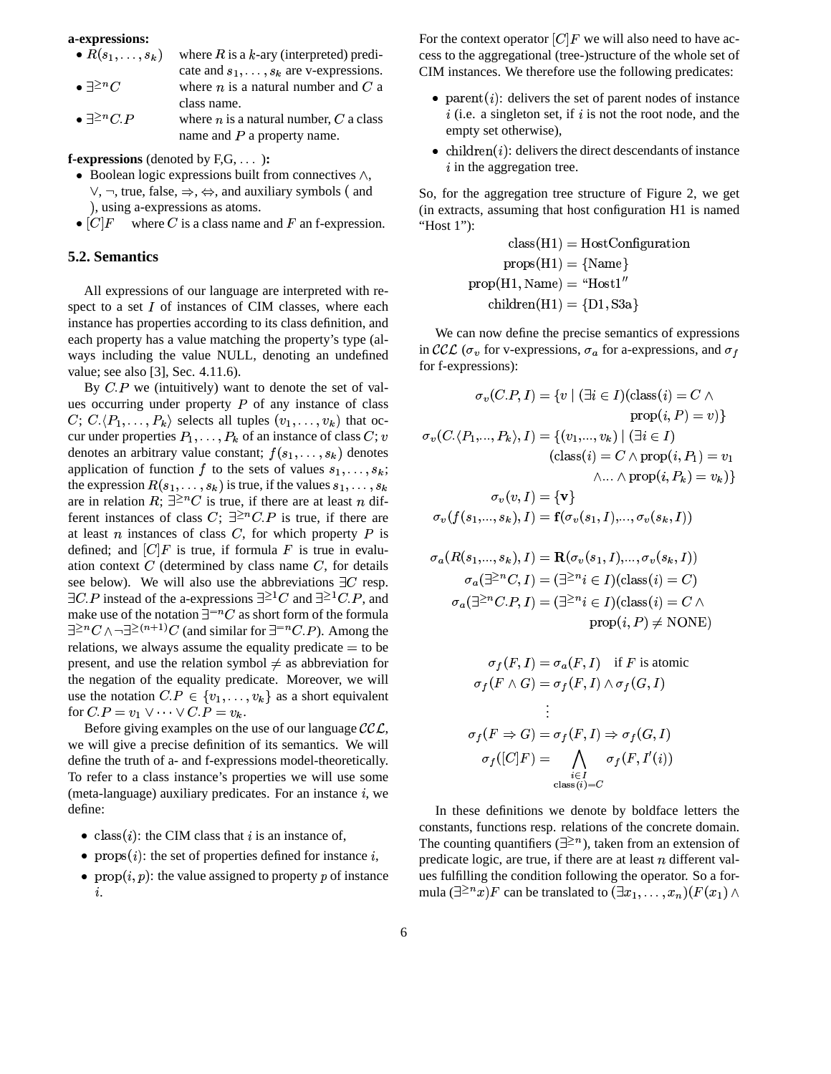#### **a-expressions:**

- $\bullet$   $K(s_1, \ldots, s_k)$  wh  $_k$ ) where R is a k-ary (interpreted) predicate and  $s_1, \ldots, s_k$  are v-expressions.
- $\bullet \exists^{\geq n} C$ •  $\exists^{\geq n} C$  where *n* is a natural number and *C* a class name.
- $\bullet \exists^{\geq n} C.P$ •  $\exists^{\geq n} C.P$  where *n* is a natural number, *C* a class name and  $P$  a property name.

**f-expressions** (denoted by F,G, ...):

- $\bullet$  Boolean logic expressions built from connectives  $\wedge$ ,  $\vee$ ,  $\neg$ , true, false,  $\Rightarrow$ ,  $\Leftrightarrow$ , and auxiliary symbols (and ), using a-expressions as atoms.
- $[C]F$  where C is a class name and F an f-expression.

#### **5.2. Semantics**

All expressions of our language are interpreted with respect to a set  $I$  of instances of CIM classes, where each instance has properties according to its class definition, and each property has a value matching the property's type (always including the value NULL, denoting an undefined value; see also [3], Sec. 4.11.6).

By  $C.P$  we (intuitively) want to denote the set of values occurring under property  $P$  of any instance of class  $C; C.\langle P_1, \ldots, P_k \rangle$  selects all tuples  $(v_1, \ldots, v_k)$  that occur under properties  $P_1, \ldots, P_k$  of an instance of class  $C; v \qquad \sigma_v(C, \langle$ denotes an arbitrary value constant;  $f(s_1, \ldots, s_k)$  denotes application of function f to the sets of values  $s_1, \ldots, s_k$ ; the expression  $R(s_1, \ldots, s_k)$  is true, if the values  $s_1, \ldots, s_k$ are in relation R;  $\exists^{\geq n} C$  is true, if there are at least n different instances of class C;  $\exists^{\geq n} C \cdot P$  is true, if there are at least  $n$  instances of class  $C$ , for which property  $P$  is defined; and  $[C]F$  is true, if formula F is true in evaluation context  $C$  (determined by class name  $C$ , for details see below). We will also use the abbreviations  $\exists C$  resp.  $\exists C.P$  instead of the a-expressions  $\exists^{\geq 1} C$  and  $\exists^{\geq 1} C.P$ , and make use of the notation  $\exists^{=n} C$  as short form of the formula  $\exists^{\geq n} C \wedge \neg \exists^{\geq (n+1)} C$  (and similar for  $\exists^{=n} C.P$ ). Among the relations, we always assume the equality predicate  $=$  to be present, and use the relation symbol  $\neq$  as abbreviation for the negation of the equality predicate. Moreover, we will use the notation  $C.P \in \{v_1, \ldots, v_k\}$  as a short equivalent for  $C.P = v_1 \vee \cdots \vee C.P = v_k$ .

Before giving examples on the use of our language  $\mathcal{CCL}$ , we will give a precise definition of its semantics. We will define the truth of a- and f-expressions model-theoretically. To refer to a class instance's properties we will use some (meta-language) auxiliary predicates. For an instance  $i$ , we define:

- class(*i*): the CIM class that *i* is an instance of,
- props $(i)$ : the set of properties defined for instance  $i$ ,
- prop $(i, p)$ : the value assigned to property p of instance  $\ddot{i}$

For the context operator  $[C]F$  we will also need to have access to the aggregational (tree-)structure of the whole set of CIM instances. We therefore use the following predicates:

- parent(*i*): delivers the set of parent nodes of instance  $i$  (i.e. a singleton set, if  $i$  is not the root node, and the empty set otherwise),
- children $(i)$ : delivers the direct descendants of instance  $i$  in the aggregation tree.

So, for the aggregation tree structure of Figure 2, we get (in extracts, assuming that host configuration H1 is named "Host 1"):

> $\mathrm{class(H1)}=\mathrm{HostConfieuration}$  $\text{props}(H1) = \{ \text{Name} \}$ **Bandarie des Services des Services de la construcción de la construcción de la construcción de la construcción** prop(H1, Name) = "Host I"  $\text{children}(\text{H I}) = \{ \text{D I}, \text{S} \text{S} \text{a} \}$ **B** and the state of the state of the state of the state of the state of the state of the state of the state of

We can now define the precise semantics of expressions in  $\mathcal{CCL}$  ( $\sigma_v$  for v-expressions,  $\sigma_a$  for a-expressions, and  $\sigma_f$ for f-expressions):

$$
\sigma_v(C.P, I) = \{v \mid (\exists i \in I)(\text{class}(i) = C \land \text{prop}(i, P) = v)\}
$$

$$
\sigma_v(C.\langle P_1, \ldots, P_k \rangle, I) = \{(v_1, \ldots, v_k) \mid (\exists i \in I) \text{ (class}(i) = C \land \text{prop}(i, P_1) = v_1 \land \ldots \land \text{prop}(i, P_k) = v_k)\}
$$

$$
\sigma_v(v, I) = \{\mathbf{v}\}
$$

$$
\sigma_v(f(s_1, \ldots, s_k), I) = \mathbf{f}(\sigma_v(s_1, I), \ldots, \sigma_v(s_k, I))
$$

$$
\sigma_a(R(s_1, ..., s_k), I) = \mathbf{R}(\sigma_v(s_1, I), ..., \sigma_v(s_k, I))
$$

$$
\sigma_a(\exists^{\geq n} C, I) = (\exists^{\geq n} i \in I)(\text{class}(i) = C)
$$

$$
\sigma_a(\exists^{\geq n} C. P, I) = (\exists^{\geq n} i \in I)(\text{class}(i) = C \land \text{prop}(i, P) \neq \text{NONE})
$$

$$
\sigma_f(F, I) = \sigma_a(F, I) \quad \text{if } F \text{ is atomic}
$$
\n
$$
\sigma_f(F \land G) = \sigma_f(F, I) \land \sigma_f(G, I)
$$
\n
$$
\vdots
$$
\n
$$
\sigma_f(F \Rightarrow G) = \sigma_f(F, I) \Rightarrow \sigma_f(G, I)
$$
\n
$$
\sigma_f([C]F) = \bigwedge_{\substack{i \in I \\ \text{class}(i) = C}} \sigma_f(F, I'(i))
$$

In these definitions we denote by boldface letters the constants, functions resp. relations of the concrete domain. The counting quantifiers  $(\exists^{\geq n})$ , taken from an extension of predicate logic, are true, if there are at least  $n$  different values fulfilling the condition following the operator. So a formula  $(\exists^{\geq n} x) F$  can be translated to  $(\exists x_1, \ldots, x_n) (F(x_1) \wedge$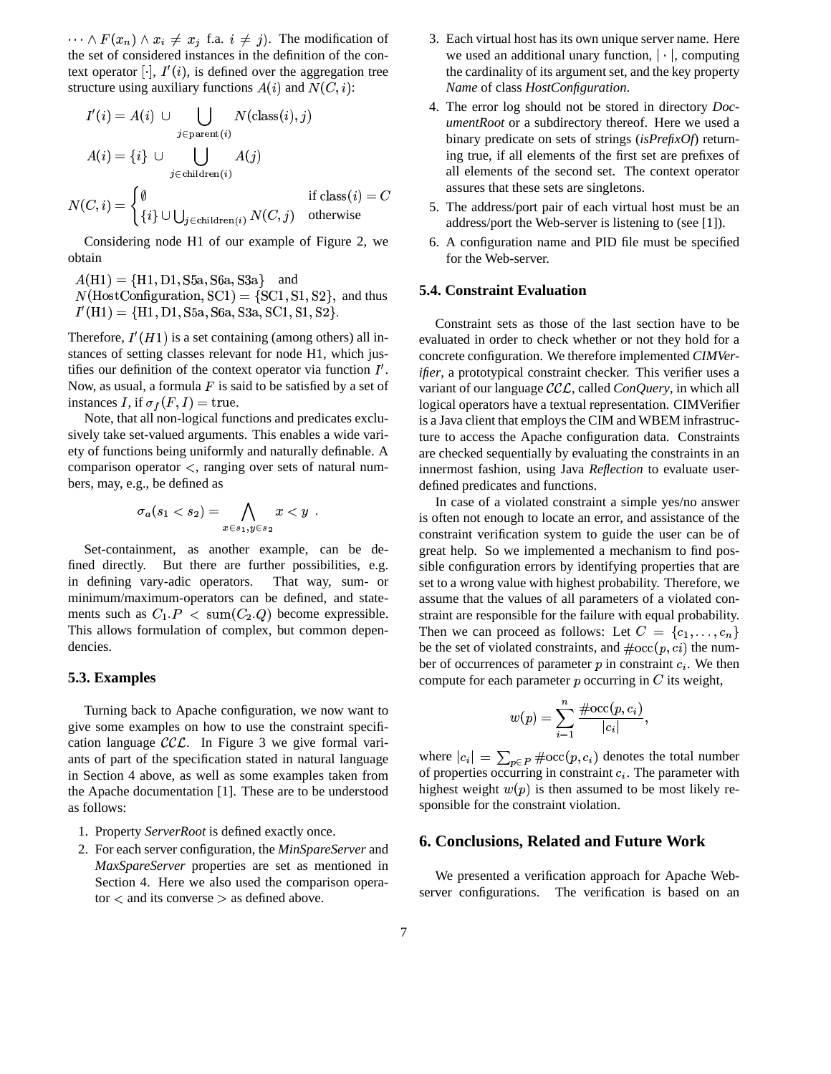$\cdots \wedge F(x_n) \wedge x_i \neq x_j$  f.a.  $i \neq j$ . The modification of the set of considered instances in the definition of the context operator  $[\cdot]$ ,  $I'(i)$ , is defined over the aggregation tree structure using auxiliary functions  $A(i)$  and  $N(C, i)$ :

$$
I'(i) = A(i) \cup \bigcup_{j \in \text{parent}(i)} N(\text{class}(i), j)
$$

$$
A(i) = \{i\} \cup \bigcup_{j \in \text{children}(i)} A(j)
$$

$$
N(C, i) = \begin{cases} \emptyset & \text{if class}(i) = C \\ \{i\} \cup \bigcup_{j \in \text{children}(i)} N(C, j) & \text{otherwise} \end{cases}
$$

Considering node H1 of our example of Figure 2, we obtain

 $A(H1) = {H1, D1, S5a, S6a, S3a}$  and  $N(\text{HostConfiguration}, \text{SC1}) = \{\text{SC1}, \text{S1}, \text{S2}\},\$ and thus  $I'(H1) = \{H1, D1, S5a, S6a, S3a, SC1, S1, S2\}.$ 

Therefore,  $I'(H1)$  is a set containing (among others) all instances of setting classes relevant for node H1, which justifies our definition of the context operator via function  $I'$ . Now, as usual, a formula  $F$  is said to be satisfied by a set of instances I, if  $\sigma_f(F, I) = \text{true}$ .

Note, that all non-logical functions and predicates exclusively take set-valued arguments. This enables a wide variety of functions being uniformly and naturally definable. A comparison operator  $\lt$ , ranging over sets of natural numbers, may, e.g., be defined as

$$
\sigma_a(s_1 < s_2) = \bigwedge_{x \in s_1, y \in s_2} x < y.
$$

Set-containment, as another example, can be de-But there are further possibilities, e.g. fined directly. in defining vary-adic operators. That way, sum- or minimum/maximum-operators can be defined, and statements such as  $C_1.P < \text{sum}(C_2.Q)$  become expressible. This allows formulation of complex, but common dependencies.

#### 5.3. Examples

Turning back to Apache configuration, we now want to give some examples on how to use the constraint specification language  $\mathcal{CCL}$ . In Figure 3 we give formal variants of part of the specification stated in natural language in Section 4 above, as well as some examples taken from the Apache documentation [1]. These are to be understood as follows:

- 1. Property ServerRoot is defined exactly once.
- 2. For each server configuration, the MinSpareServer and MaxSpareServer properties are set as mentioned in Section 4. Here we also used the comparison opera- $\text{tor}$  < and its converse > as defined above.
- 3. Each virtual host has its own unique server name. Here we used an additional unary function,  $|\cdot|$ , computing the cardinality of its argument set, and the key property Name of class HostConfiguration.
- 4. The error log should not be stored in directory *Doc*umentRoot or a subdirectory thereof. Here we used a binary predicate on sets of strings  $(isPrefixOf)$  returning true, if all elements of the first set are prefixes of all elements of the second set. The context operator assures that these sets are singletons.
- 5. The address/port pair of each virtual host must be an address/port the Web-server is listening to (see [1]).
- 6. A configuration name and PID file must be specified for the Web-server.

#### **5.4. Constraint Evaluation**

Constraint sets as those of the last section have to be evaluated in order to check whether or not they hold for a concrete configuration. We therefore implemented CIMVerifier, a prototypical constraint checker. This verifier uses a variant of our language  $\mathcal{CCL}$ , called *ConQuery*, in which all logical operators have a textual representation. CIMVerifier is a Java client that employs the CIM and WBEM infrastructure to access the Apache configuration data. Constraints are checked sequentially by evaluating the constraints in an innermost fashion, using Java Reflection to evaluate userdefined predicates and functions.

In case of a violated constraint a simple yes/no answer is often not enough to locate an error, and assistance of the constraint verification system to guide the user can be of great help. So we implemented a mechanism to find possible configuration errors by identifying properties that are set to a wrong value with highest probability. Therefore, we assume that the values of all parameters of a violated constraint are responsible for the failure with equal probability. Then we can proceed as follows: Let  $C = \{c_1, \ldots, c_n\}$ be the set of violated constraints, and  $\#occ(p, ci)$  the number of occurrences of parameter  $p$  in constraint  $c_i$ . We then compute for each parameter  $p$  occurring in  $C$  its weight,

$$
w(p) = \sum_{i=1}^n \frac{\# {\rm occ}(p,c_i)}{|c_i|}
$$

where  $|c_i| = \sum_{p \in P} \#occ(p, c_i)$  denotes the total number of properties occurring in constraint  $c_i$ . The parameter with highest weight  $w(p)$  is then assumed to be most likely responsible for the constraint violation.

#### 6. Conclusions, Related and Future Work

We presented a verification approach for Apache Webserver configurations. The verification is based on an